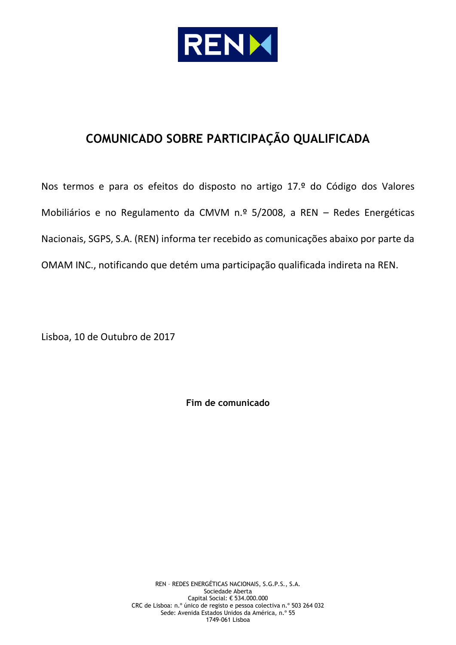

# **COMUNICADO SOBRE PARTICIPAÇÃO QUALIFICADA**

Nos termos e para os efeitos do disposto no artigo 17.º do Código dos Valores Mobiliários e no Regulamento da CMVM n.º 5/2008, a REN – Redes Energéticas Nacionais, SGPS, S.A. (REN) informa ter recebido as comunicações abaixo por parte da OMAM INC., notificando que detém uma participação qualificada indireta na REN.

Lisboa, 10 de Outubro de 2017

**Fim de comunicado**

REN – REDES ENERGÉTICAS NACIONAIS, S.G.P.S., S.A. Sociedade Aberta Capital Social: € 534.000.000 CRC de Lisboa: n.º único de registo e pessoa colectiva n.º 503 264 032 Sede: Avenida Estados Unidos da América, n.º 55 1749-061 Lisboa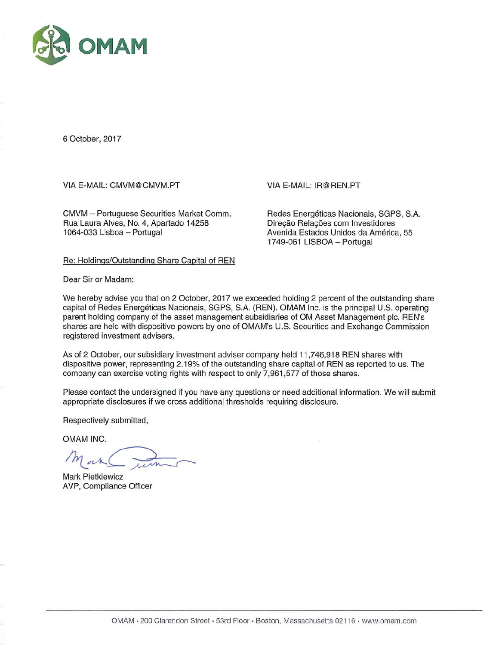

6 October, 2017

VIA E-MAIL: CMVM@CMVM.PT

CMVM - Portuguese Securities Market Comm. Rua Laura Alves, No. 4, Apartado 14258 1064-033 Lisboa - Portugal

VIA E-MAIL: IR@REN.PT

Redes Energéticas Nacionais, SGPS, S.A. Direção Relações com Investidores Avenida Estados Unidos da América, 55 1749-061 LISBOA - Portugal

Re: Holdings/Outstanding Share Capital of REN

Dear Sir or Madam:

We hereby advise you that on 2 October, 2017 we exceeded holding 2 percent of the outstanding share capital of Redes Energéticas Nacionais, SGPS, S.A. (REN). OMAM Inc. is the principal U.S. operating parent holding company of the asset management subsidiaries of OM Asset Management plc. REN's shares are held with dispositive powers by one of OMAM's U.S. Securities and Exchange Commission registered investment advisers.

As of 2 October, our subsidiary investment adviser company held 11,746,918 REN shares with dispositive power, representing 2.19% of the outstanding share capital of REN as reported to us. The company can exercise voting rights with respect to only 7,961,577 of those shares.

Please contact the undersigned if you have any questions or need additional information. We will submit appropriate disclosures if we cross additional thresholds requiring disclosure.

Respectively submitted,

OMAM INC.

**Mark Pietkiewicz** AVP, Compliance Officer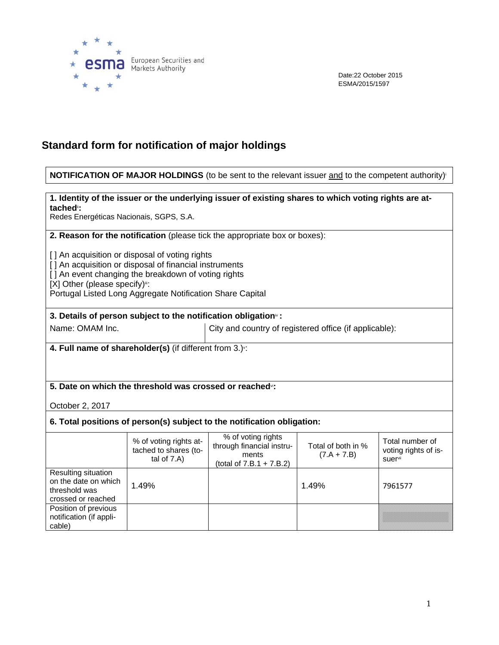

Date:22 October 2015 ESMA/2015/1597

# **Standard form for notification of major holdings**

#### **NOTIFICATION OF MAJOR HOLDINGS** (to be sent to the relevant issuer and to the competent authority)<sup>i</sup>

#### **1. Identity of the issuer or the underlying issuer of existing shares to which voting rights are attached**ii**:**

Redes Energéticas Nacionais, SGPS, S.A.

**2. Reason for the notification** (please tick the appropriate box or boxes):

[ ] An acquisition or disposal of voting rights

- [] An acquisition or disposal of financial instruments
- [ ] An event changing the breakdown of voting rights

 $[X]$  Other (please specify) $\equiv$ :

Portugal Listed Long Aggregate Notification Share Capital

#### **3. Details of person subject to the notification obligation**iv **:**

Name: OMAM Inc.  $\vert$  City and country of registered office (if applicable):

**4. Full name of shareholder(s)** (if different from 3.)<sup>\*</sup>:

## **5. Date on which the threshold was crossed or reached**vi**:**

October 2, 2017

#### **6. Total positions of person(s) subject to the notification obligation:**

|                                                                                    | % of voting rights at-<br>tached to shares (to-<br>tal of $7.A$ ) | % of voting rights<br>through financial instru-<br>ments<br>(total of $7.B.1 + 7.B.2$ ) | Total of both in %<br>$(7.A + 7.B)$ | Total number of<br>voting rights of is-<br>suer <sup>vii</sup> |
|------------------------------------------------------------------------------------|-------------------------------------------------------------------|-----------------------------------------------------------------------------------------|-------------------------------------|----------------------------------------------------------------|
| Resulting situation<br>on the date on which<br>threshold was<br>crossed or reached | 1.49%                                                             |                                                                                         | 1.49%                               | 7961577                                                        |
| Position of previous<br>notification (if appli-<br>cable)                          |                                                                   |                                                                                         |                                     |                                                                |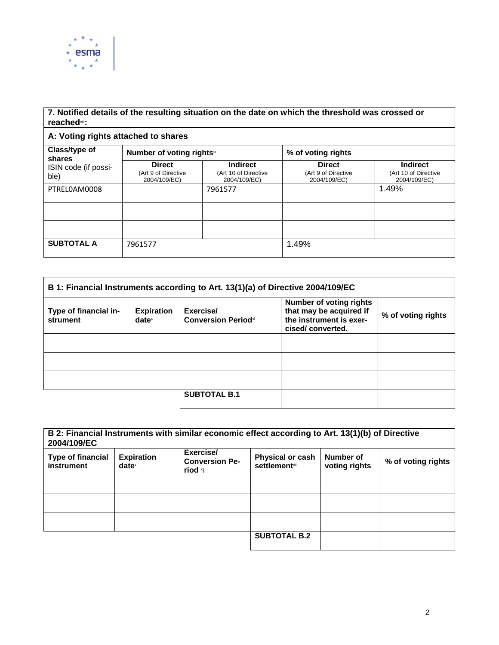

## **7. Notified details of the resulting situation on the date on which the threshold was crossed or reached**viii**:**

## **A: Voting rights attached to shares**

| Class/type of<br>shares<br>ISIN code (if possi-<br>ble) | Number of voting rightsix                            |                                                         | % of voting rights                                   |                                                         |
|---------------------------------------------------------|------------------------------------------------------|---------------------------------------------------------|------------------------------------------------------|---------------------------------------------------------|
|                                                         | <b>Direct</b><br>(Art 9 of Directive<br>2004/109/EC) | <b>Indirect</b><br>(Art 10 of Directive<br>2004/109/EC) | <b>Direct</b><br>(Art 9 of Directive<br>2004/109/EC) | <b>Indirect</b><br>(Art 10 of Directive<br>2004/109/EC) |
| PTRELOAM0008                                            |                                                      | 7961577                                                 |                                                      | 1.49%                                                   |
|                                                         |                                                      |                                                         |                                                      |                                                         |
|                                                         |                                                      |                                                         |                                                      |                                                         |
| <b>SUBTOTAL A</b>                                       | 7961577                                              |                                                         | 1.49%                                                |                                                         |

| B 1: Financial Instruments according to Art. 13(1)(a) of Directive 2004/109/EC |                                      |                                         |                                                                                                          |                    |
|--------------------------------------------------------------------------------|--------------------------------------|-----------------------------------------|----------------------------------------------------------------------------------------------------------|--------------------|
| Type of financial in-<br>strument                                              | <b>Expiration</b><br>$date^{\times}$ | Exercise/<br><b>Conversion Periodxi</b> | <b>Number of voting rights</b><br>that may be acquired if<br>the instrument is exer-<br>cised/converted. | % of voting rights |
|                                                                                |                                      |                                         |                                                                                                          |                    |
|                                                                                |                                      |                                         |                                                                                                          |                    |
|                                                                                |                                      |                                         |                                                                                                          |                    |
|                                                                                |                                      | <b>SUBTOTAL B.1</b>                     |                                                                                                          |                    |

| B 2: Financial Instruments with similar economic effect according to Art. 13(1)(b) of Directive<br>2004/109/EC |                                        |                                               |                                                  |                            |                    |
|----------------------------------------------------------------------------------------------------------------|----------------------------------------|-----------------------------------------------|--------------------------------------------------|----------------------------|--------------------|
| <b>Type of financial</b><br>instrument                                                                         | <b>Expiration</b><br>date <sup>x</sup> | Exercise/<br><b>Conversion Pe-</b><br>riod *i | <b>Physical or cash</b><br><b>settlement</b> xii | Number of<br>voting rights | % of voting rights |
|                                                                                                                |                                        |                                               |                                                  |                            |                    |
|                                                                                                                |                                        |                                               |                                                  |                            |                    |
|                                                                                                                |                                        |                                               |                                                  |                            |                    |
|                                                                                                                |                                        |                                               | <b>SUBTOTAL B.2</b>                              |                            |                    |